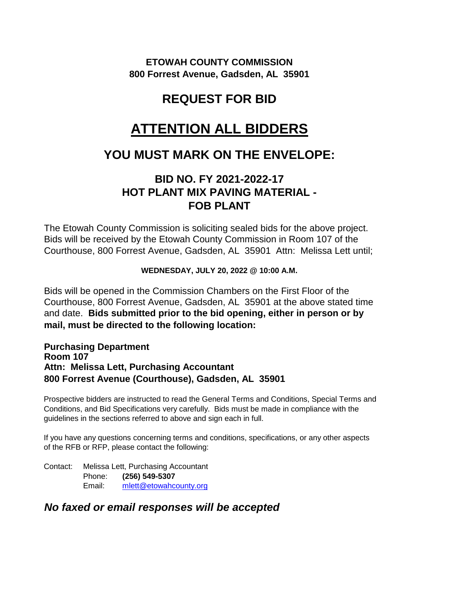**ETOWAH COUNTY COMMISSION 800 Forrest Avenue, Gadsden, AL 35901**

# **REQUEST FOR BID**

# **ATTENTION ALL BIDDERS**

# **YOU MUST MARK ON THE ENVELOPE:**

## **BID NO. FY 2021-2022-17 HOT PLANT MIX PAVING MATERIAL - FOB PLANT**

The Etowah County Commission is soliciting sealed bids for the above project. Bids will be received by the Etowah County Commission in Room 107 of the Courthouse, 800 Forrest Avenue, Gadsden, AL 35901 Attn: Melissa Lett until;

#### **WEDNESDAY, JULY 20, 2022 @ 10:00 A.M.**

Bids will be opened in the Commission Chambers on the First Floor of the Courthouse, 800 Forrest Avenue, Gadsden, AL 35901 at the above stated time and date. **Bids submitted prior to the bid opening, either in person or by mail, must be directed to the following location:**

#### **Purchasing Department Room 107 Attn: Melissa Lett, Purchasing Accountant 800 Forrest Avenue (Courthouse), Gadsden, AL 35901**

Prospective bidders are instructed to read the General Terms and Conditions, Special Terms and Conditions, and Bid Specifications very carefully. Bids must be made in compliance with the guidelines in the sections referred to above and sign each in full.

If you have any questions concerning terms and conditions, specifications, or any other aspects of the RFB or RFP, please contact the following:

Contact: Melissa Lett, Purchasing Accountant Phone: **(256) 549-5307** Email: [mlett@etowahcounty.org](mailto:mlett@etowahcounty.org)

### *No faxed or email responses will be accepted*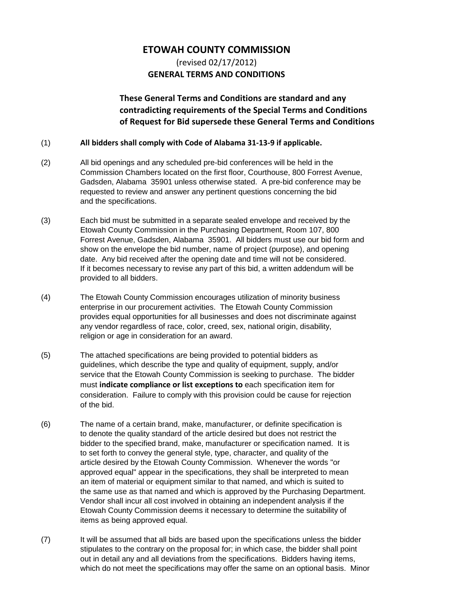#### **ETOWAH COUNTY COMMISSION**

### (revised 02/17/2012) **GENERAL TERMS AND CONDITIONS**

### **These General Terms and Conditions are standard and any contradicting requirements of the Special Terms and Conditions of Request for Bid supersede these General Terms and Conditions**

#### (1) **All bidders shall comply with Code of Alabama 31-13-9 if applicable.**

- (2) All bid openings and any scheduled pre-bid conferences will be held in the Commission Chambers located on the first floor, Courthouse, 800 Forrest Avenue, Gadsden, Alabama 35901 unless otherwise stated. A pre-bid conference may be requested to review and answer any pertinent questions concerning the bid and the specifications.
- (3) Each bid must be submitted in a separate sealed envelope and received by the Etowah County Commission in the Purchasing Department, Room 107, 800 Forrest Avenue, Gadsden, Alabama 35901. All bidders must use our bid form and show on the envelope the bid number, name of project (purpose), and opening date. Any bid received after the opening date and time will not be considered. If it becomes necessary to revise any part of this bid, a written addendum will be provided to all bidders.
- (4) The Etowah County Commission encourages utilization of minority business enterprise in our procurement activities. The Etowah County Commission provides equal opportunities for all businesses and does not discriminate against any vendor regardless of race, color, creed, sex, national origin, disability, religion or age in consideration for an award.
- (5) The attached specifications are being provided to potential bidders as guidelines, which describe the type and quality of equipment, supply, and/or service that the Etowah County Commission is seeking to purchase. The bidder must **indicate compliance or list exceptions to** each specification item for consideration. Failure to comply with this provision could be cause for rejection of the bid.
- (6) The name of a certain brand, make, manufacturer, or definite specification is to denote the quality standard of the article desired but does not restrict the bidder to the specified brand, make, manufacturer or specification named. It is to set forth to convey the general style, type, character, and quality of the article desired by the Etowah County Commission. Whenever the words "or approved equal" appear in the specifications, they shall be interpreted to mean an item of material or equipment similar to that named, and which is suited to the same use as that named and which is approved by the Purchasing Department. Vendor shall incur all cost involved in obtaining an independent analysis if the Etowah County Commission deems it necessary to determine the suitability of items as being approved equal.
- (7) It will be assumed that all bids are based upon the specifications unless the bidder stipulates to the contrary on the proposal for; in which case, the bidder shall point out in detail any and all deviations from the specifications. Bidders having items, which do not meet the specifications may offer the same on an optional basis. Minor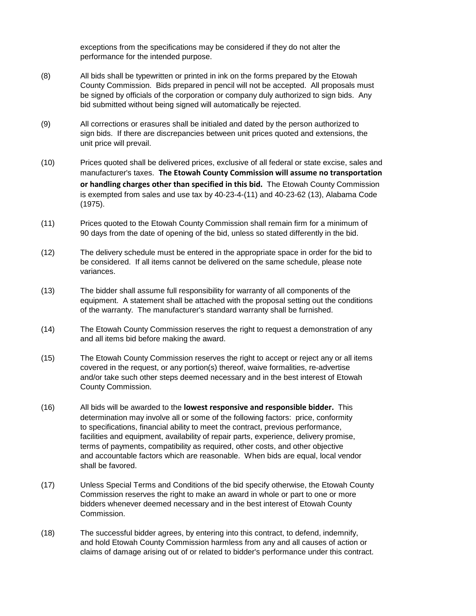exceptions from the specifications may be considered if they do not alter the performance for the intended purpose.

- (8) All bids shall be typewritten or printed in ink on the forms prepared by the Etowah County Commission. Bids prepared in pencil will not be accepted. All proposals must be signed by officials of the corporation or company duly authorized to sign bids. Any bid submitted without being signed will automatically be rejected.
- (9) All corrections or erasures shall be initialed and dated by the person authorized to sign bids. If there are discrepancies between unit prices quoted and extensions, the unit price will prevail.
- (10) Prices quoted shall be delivered prices, exclusive of all federal or state excise, sales and manufacturer's taxes. **The Etowah County Commission will assume no transportation or handling charges other than specified in this bid.** The Etowah County Commission is exempted from sales and use tax by 40-23-4-(11) and 40-23-62 (13), Alabama Code (1975).
- (11) Prices quoted to the Etowah County Commission shall remain firm for a minimum of 90 days from the date of opening of the bid, unless so stated differently in the bid.
- (12) The delivery schedule must be entered in the appropriate space in order for the bid to be considered. If all items cannot be delivered on the same schedule, please note variances.
- (13) The bidder shall assume full responsibility for warranty of all components of the equipment. A statement shall be attached with the proposal setting out the conditions of the warranty. The manufacturer's standard warranty shall be furnished.
- (14) The Etowah County Commission reserves the right to request a demonstration of any and all items bid before making the award.
- (15) The Etowah County Commission reserves the right to accept or reject any or all items covered in the request, or any portion(s) thereof, waive formalities, re-advertise and/or take such other steps deemed necessary and in the best interest of Etowah County Commission.
- (16) All bids will be awarded to the **lowest responsive and responsible bidder.** This determination may involve all or some of the following factors: price, conformity to specifications, financial ability to meet the contract, previous performance, facilities and equipment, availability of repair parts, experience, delivery promise, terms of payments, compatibility as required, other costs, and other objective and accountable factors which are reasonable. When bids are equal, local vendor shall be favored.
- (17) Unless Special Terms and Conditions of the bid specify otherwise, the Etowah County Commission reserves the right to make an award in whole or part to one or more bidders whenever deemed necessary and in the best interest of Etowah County Commission.
- (18) The successful bidder agrees, by entering into this contract, to defend, indemnify, and hold Etowah County Commission harmless from any and all causes of action or claims of damage arising out of or related to bidder's performance under this contract.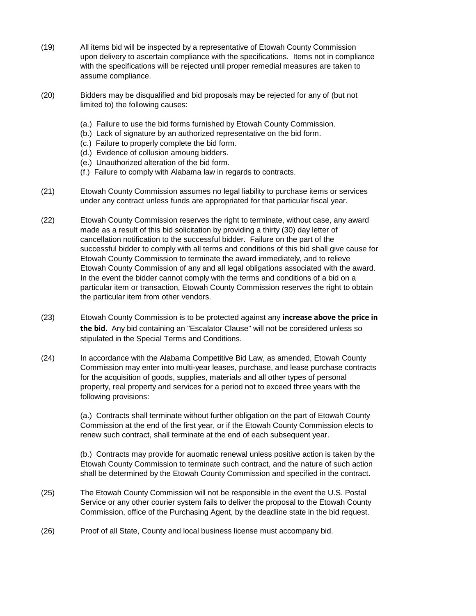- (19) All items bid will be inspected by a representative of Etowah County Commission upon delivery to ascertain compliance with the specifications. Items not in compliance with the specifications will be rejected until proper remedial measures are taken to assume compliance.
- (20) Bidders may be disqualified and bid proposals may be rejected for any of (but not limited to) the following causes:
	- (a.) Failure to use the bid forms furnished by Etowah County Commission.
	- (b.) Lack of signature by an authorized representative on the bid form.
	- (c.) Failure to properly complete the bid form.
	- (d.) Evidence of collusion amoung bidders.
	- (e.) Unauthorized alteration of the bid form.
	- (f.) Failure to comply with Alabama law in regards to contracts.
- (21) Etowah County Commission assumes no legal liability to purchase items or services under any contract unless funds are appropriated for that particular fiscal year.
- (22) Etowah County Commission reserves the right to terminate, without case, any award made as a result of this bid solicitation by providing a thirty (30) day letter of cancellation notification to the successful bidder. Failure on the part of the successful bidder to comply with all terms and conditions of this bid shall give cause for Etowah County Commission to terminate the award immediately, and to relieve Etowah County Commission of any and all legal obligations associated with the award. In the event the bidder cannot comply with the terms and conditions of a bid on a particular item or transaction, Etowah County Commission reserves the right to obtain the particular item from other vendors.
- (23) Etowah County Commission is to be protected against any **increase above the price in the bid.** Any bid containing an "Escalator Clause" will not be considered unless so stipulated in the Special Terms and Conditions.
- (24) In accordance with the Alabama Competitive Bid Law, as amended, Etowah County Commission may enter into multi-year leases, purchase, and lease purchase contracts for the acquisition of goods, supplies, materials and all other types of personal property, real property and services for a period not to exceed three years with the following provisions:

(a.) Contracts shall terminate without further obligation on the part of Etowah County Commission at the end of the first year, or if the Etowah County Commission elects to renew such contract, shall terminate at the end of each subsequent year.

(b.) Contracts may provide for auomatic renewal unless positive action is taken by the Etowah County Commission to terminate such contract, and the nature of such action shall be determined by the Etowah County Commission and specified in the contract.

- (25) The Etowah County Commission will not be responsible in the event the U.S. Postal Service or any other courier system fails to deliver the proposal to the Etowah County Commission, office of the Purchasing Agent, by the deadline state in the bid request.
- (26) Proof of all State, County and local business license must accompany bid.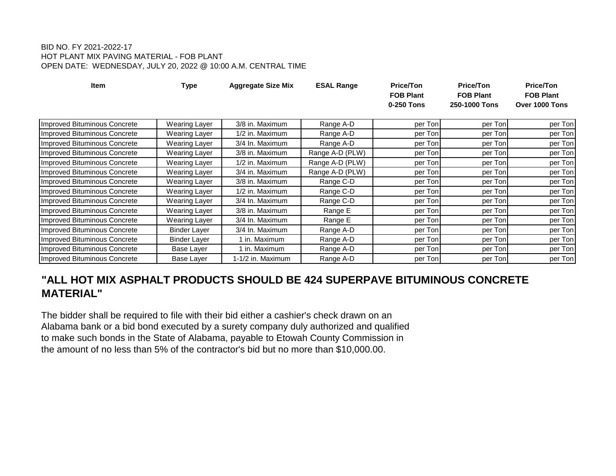#### BID NO. FY 2021-2022-17 HOT PLANT MIX PAVING MATERIAL - FOB PLANT OPEN DATE: WEDNESDAY, JULY 20, 2022 @ 10:00 A.M. CENTRAL TIME

| <b>Item</b>                         | <b>Type</b>          | <b>Aggregate Size Mix</b> | <b>ESAL Range</b> | <b>Price/Ton</b><br><b>FOB Plant</b><br>0-250 Tons | <b>Price/Ton</b><br><b>FOB Plant</b><br>250-1000 Tons | Price/Ton<br><b>FOB Plant</b><br>Over 1000 Tons |
|-------------------------------------|----------------------|---------------------------|-------------------|----------------------------------------------------|-------------------------------------------------------|-------------------------------------------------|
| Improved Bituminous Concrete        | <b>Wearing Layer</b> | 3/8 in. Maximum           | Range A-D         | per Ton                                            | per Ton                                               | per Ton                                         |
| Improved Bituminous Concrete        | Wearing Layer        | 1/2 in. Maximum           | Range A-D         | per Ton                                            | per Ton                                               | per Ton                                         |
| Improved Bituminous Concrete        | Wearing Layer        | 3/4 In. Maximum           | Range A-D         | per Ton                                            | per Ton                                               | per Ton                                         |
| Improved Bituminous Concrete        | <b>Wearing Layer</b> | 3/8 in. Maximum           | Range A-D (PLW)   | per Ton                                            | per Ton                                               | per Ton                                         |
| Improved Bituminous Concrete        | Wearing Layer        | 1/2 in. Maximum           | Range A-D (PLW)   | per Ton                                            | per Ton                                               | per Ton                                         |
| Improved Bituminous Concrete        | Wearing Layer        | 3/4 in. Maximum           | Range A-D (PLW)   | per Ton                                            | per Ton                                               | per Ton                                         |
| Improved Bituminous Concrete        | Wearing Layer        | 3/8 in. Maximum           | Range C-D         | per Ton                                            | per Ton                                               | per Ton                                         |
| Improved Bituminous Concrete        | Wearing Layer        | 1/2 in. Maximum           | Range C-D         | per Ton                                            | per Ton                                               | per Ton                                         |
| <b>Improved Bituminous Concrete</b> | Wearing Layer        | 3/4 In. Maximum           | Range C-D         | per Ton                                            | per Ton                                               | per Ton                                         |
| <b>Improved Bituminous Concrete</b> | Wearing Layer        | 3/8 in. Maximum           | Range E           | per Ton                                            | per Ton                                               | per Ton                                         |
| Improved Bituminous Concrete        | Wearing Layer        | 3/4 In. Maximum           | Range E           | per Ton                                            | per Ton                                               | per Ton                                         |
| Improved Bituminous Concrete        | <b>Binder Layer</b>  | 3/4 In. Maximum           | Range A-D         | per Ton                                            | per Ton                                               | per Ton                                         |
| Improved Bituminous Concrete        | <b>Binder Layer</b>  | 1 in. Maximum             | Range A-D         | per Ton                                            | per Ton                                               | per Ton                                         |
| Improved Bituminous Concrete        | Base Layer           | 1 in. Maximum             | Range A-D         | per Ton                                            | per Ton                                               | per Ton                                         |
| Improved Bituminous Concrete        | Base Layer           | 1-1/2 in. Maximum         | Range A-D         | per Ton                                            | per Ton                                               | per Ton                                         |

## **"ALL HOT MIX ASPHALT PRODUCTS SHOULD BE 424 SUPERPAVE BITUMINOUS CONCRETE MATERIAL"**

The bidder shall be required to file with their bid either a cashier's check drawn on an Alabama bank or a bid bond executed by a surety company duly authorized and qualified to make such bonds in the State of Alabama, payable to Etowah County Commission in the amount of no less than 5% of the contractor's bid but no more than \$10,000.00.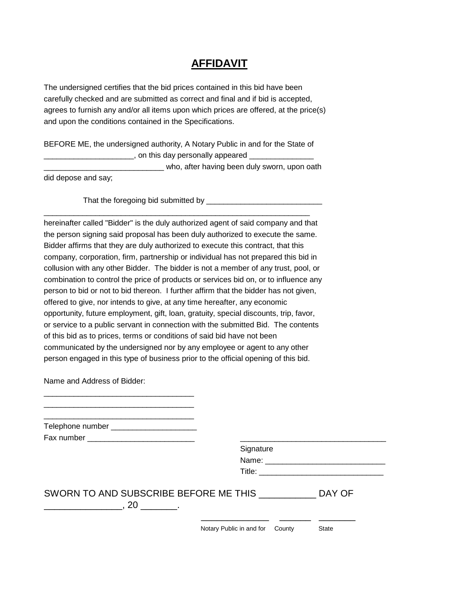## **AFFIDAVIT**

The undersigned certifies that the bid prices contained in this bid have been carefully checked and are submitted as correct and final and if bid is accepted, agrees to furnish any and/or all items upon which prices are offered, at the price(s) and upon the conditions contained in the Specifications.

BEFORE ME, the undersigned authority, A Notary Public in and for the State of . on this day personally appeared who, after having been duly sworn, upon oath

\_\_\_\_\_\_\_\_\_\_\_\_\_\_\_\_\_\_\_\_\_\_\_\_\_\_\_\_\_\_\_\_\_\_\_\_\_\_\_\_\_\_\_\_\_\_\_\_\_\_\_\_\_\_\_\_\_\_\_\_\_\_

did depose and say;

That the foregoing bid submitted by \_\_\_\_\_\_\_\_\_\_\_\_\_\_\_\_\_\_\_\_\_\_\_\_\_\_\_

hereinafter called "Bidder" is the duly authorized agent of said company and that the person signing said proposal has been duly authorized to execute the same. Bidder affirms that they are duly authorized to execute this contract, that this company, corporation, firm, partnership or individual has not prepared this bid in collusion with any other Bidder. The bidder is not a member of any trust, pool, or combination to control the price of products or services bid on, or to influence any person to bid or not to bid thereon. I further affirm that the bidder has not given, offered to give, nor intends to give, at any time hereafter, any economic opportunity, future employment, gift, loan, gratuity, special discounts, trip, favor, or service to a public servant in connection with the submitted Bid. The contents of this bid as to prices, terms or conditions of said bid have not been communicated by the undersigned nor by any employee or agent to any other person engaged in this type of business prior to the official opening of this bid.

Name and Address of Bidder:

\_\_\_\_\_\_\_\_\_\_\_\_\_\_\_\_\_\_\_\_\_\_\_\_\_\_\_\_\_\_\_\_\_\_\_ \_\_\_\_\_\_\_\_\_\_\_\_\_\_\_\_\_\_\_\_\_\_\_\_\_\_\_\_\_\_\_\_\_\_\_ \_\_\_\_\_\_\_\_\_\_\_\_\_\_\_\_\_\_\_\_\_\_\_\_\_\_\_\_\_\_\_\_\_\_\_

Telephone number \_\_\_\_\_\_\_\_\_\_\_\_\_\_\_\_\_\_\_\_

Fax number \_\_\_\_\_\_\_\_\_\_\_\_\_\_\_\_\_\_\_\_\_\_\_\_\_ \_\_\_\_\_\_\_\_\_\_\_\_\_\_\_\_\_\_\_\_\_\_\_\_\_\_\_\_\_\_\_\_\_\_

| Signature |  |
|-----------|--|
| Name:     |  |
| Title:    |  |
|           |  |

| SWORN TO AND SUBSCRIBE BEFORE ME THIS | DAY OF |
|---------------------------------------|--------|
|                                       |        |
|                                       |        |

Notary Public in and for County State